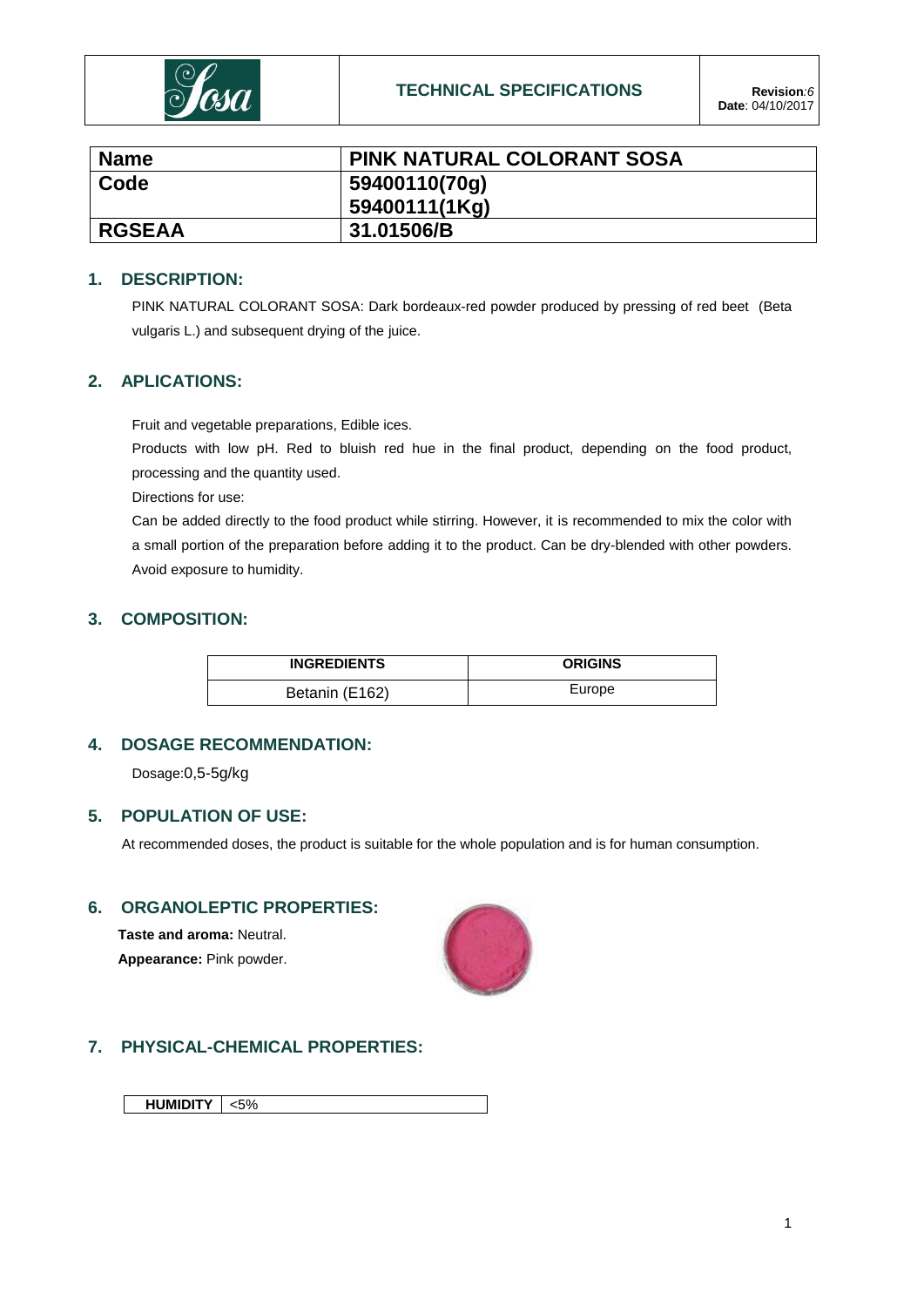

| <b>Name</b>   | <b>PINK NATURAL COLORANT SOSA</b> |
|---------------|-----------------------------------|
| Code          | 59400110(70g)                     |
|               | 59400111(1Kg)                     |
| <b>RGSEAA</b> | 31.01506/B                        |

## **1. DESCRIPTION:**

PINK NATURAL COLORANT SOSA: Dark bordeaux-red powder produced by pressing of red beet (Beta vulgaris L.) and subsequent drying of the juice.

## **2. APLICATIONS:**

Fruit and vegetable preparations, Edible ices.

Products with low pH. Red to bluish red hue in the final product, depending on the food product, processing and the quantity used.

Directions for use:

Can be added directly to the food product while stirring. However, it is recommended to mix the color with a small portion of the preparation before adding it to the product. Can be dry-blended with other powders. Avoid exposure to humidity.

### **3. COMPOSITION:**

| <b>INGREDIENTS</b> | <b>ORIGINS</b> |
|--------------------|----------------|
| Betanin (E162)     | Europe         |

## **4. DOSAGE RECOMMENDATION:**

Dosage:0,5-5g/kg

## **5. POPULATION OF USE:**

At recommended doses, the product is suitable for the whole population and is for human consumption.

# **6. ORGANOLEPTIC PROPERTIES:**

**Taste and aroma:** Neutral. **Appearance:** Pink powder.



# **7. PHYSICAL-CHEMICAL PROPERTIES:**

**HUMIDITY** <5%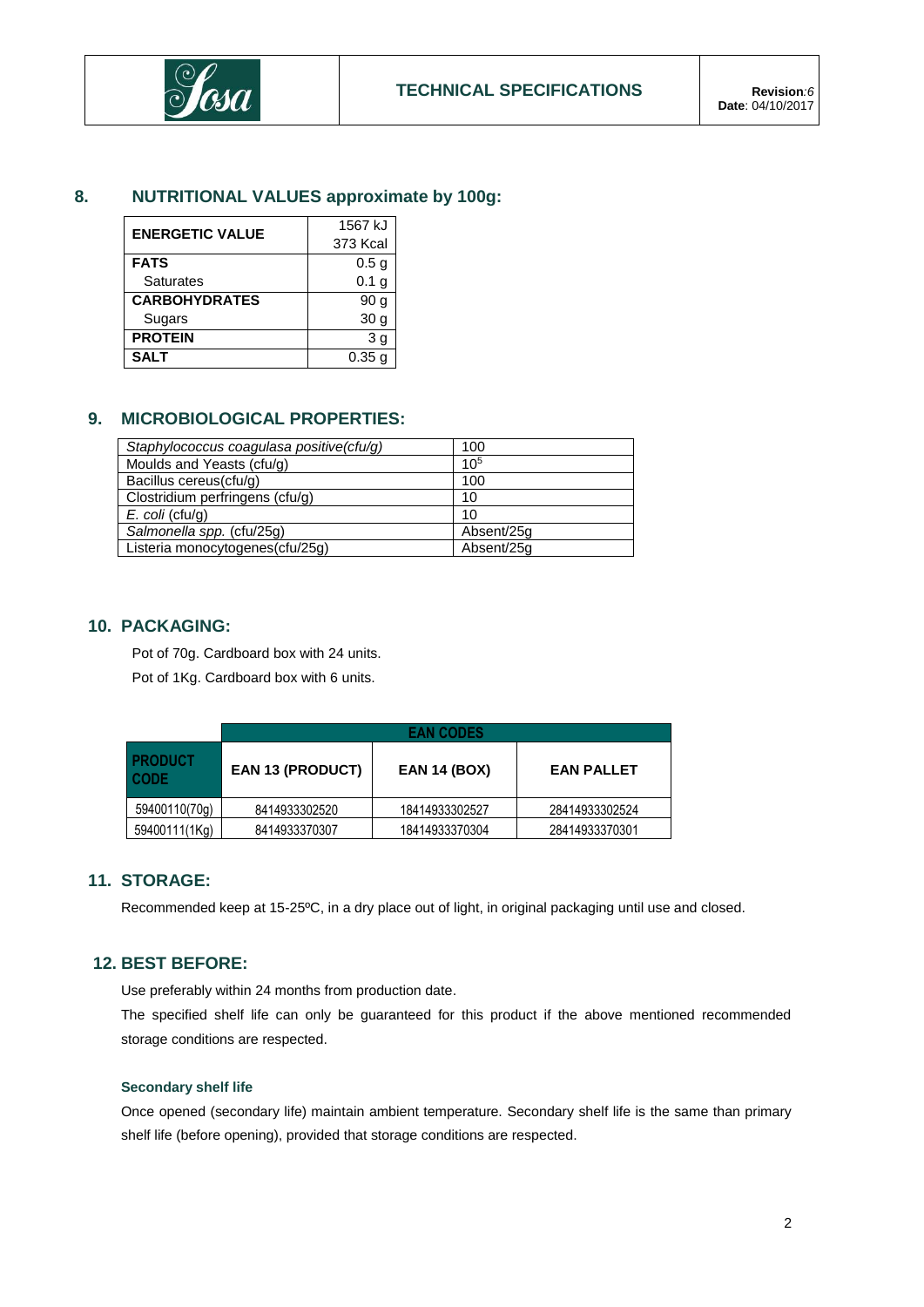

# **8. NUTRITIONAL VALUES approximate by 100g:**

| <b>ENERGETIC VALUE</b> | 1567 kJ           |  |  |
|------------------------|-------------------|--|--|
|                        | 373 Kcal          |  |  |
| <b>FATS</b>            | 0.5 <sub>g</sub>  |  |  |
| <b>Saturates</b>       | 0.1 <sub>g</sub>  |  |  |
| <b>CARBOHYDRATES</b>   | 90 g              |  |  |
| Sugars                 | 30 <sub>q</sub>   |  |  |
| <b>PROTEIN</b>         | 3 <sub>g</sub>    |  |  |
| <b>SALT</b>            | 0.35 <sub>q</sub> |  |  |

# **9. MICROBIOLOGICAL PROPERTIES:**

| Staphylococcus coagulasa positive(cfu/g) | 100        |
|------------------------------------------|------------|
| Moulds and Yeasts (cfu/g)                | $10^{5}$   |
| Bacillus cereus(cfu/g)                   | 100        |
| Clostridium perfringens (cfu/g)          | 10         |
| $E.$ coli (cfu/g)                        | 10         |
| Salmonella spp. (cfu/25g)                | Absent/25g |
| Listeria monocytogenes(cfu/25g)          | Absent/25g |

## **10. PACKAGING:**

Pot of 70g. Cardboard box with 24 units.

Pot of 1Kg. Cardboard box with 6 units.

|                               | <b>EAN CODES</b>        |                     |                   |  |  |
|-------------------------------|-------------------------|---------------------|-------------------|--|--|
| <b>PRODUCT</b><br><b>CODE</b> | <b>EAN 13 (PRODUCT)</b> | <b>EAN 14 (BOX)</b> | <b>EAN PALLET</b> |  |  |
| 59400110(70g)                 | 8414933302520           | 18414933302527      | 28414933302524    |  |  |
| 59400111(1Kg)                 | 8414933370307           | 18414933370304      | 28414933370301    |  |  |

## **11. STORAGE:**

Recommended keep at 15-25ºC, in a dry place out of light, in original packaging until use and closed.

## **12. BEST BEFORE:**

Use preferably within 24 months from production date.

The specified shelf life can only be guaranteed for this product if the above mentioned recommended storage conditions are respected.

### **Secondary shelf life**

Once opened (secondary life) maintain ambient temperature. Secondary shelf life is the same than primary shelf life (before opening), provided that storage conditions are respected.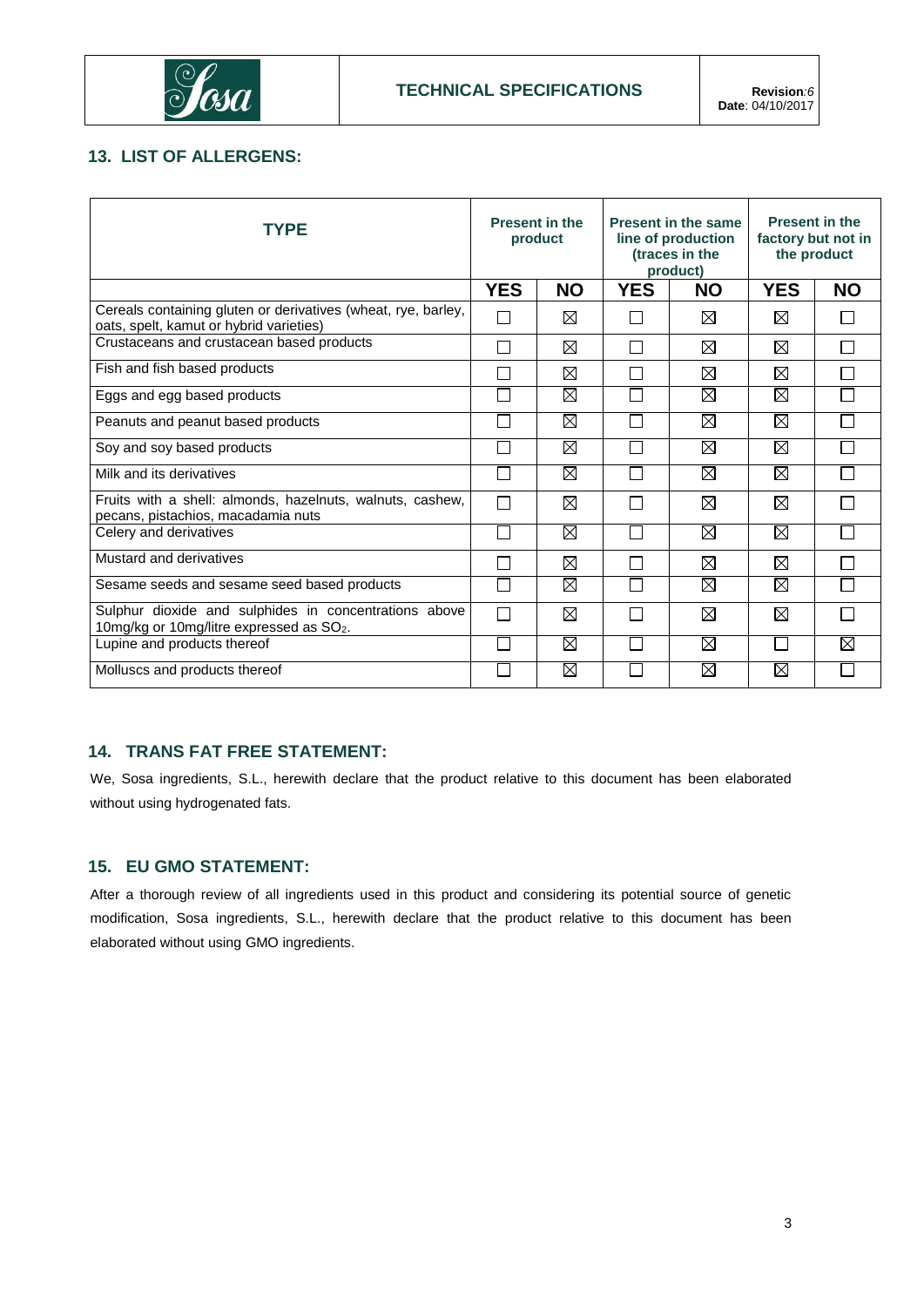

# **13. LIST OF ALLERGENS:**

| <b>TYPE</b>                                                                                                   | <b>Present in the</b><br>product |             | <b>Present in the same</b><br>line of production<br>(traces in the<br>product) |             | <b>Present in the</b><br>factory but not in<br>the product |              |
|---------------------------------------------------------------------------------------------------------------|----------------------------------|-------------|--------------------------------------------------------------------------------|-------------|------------------------------------------------------------|--------------|
|                                                                                                               | <b>YES</b>                       | <b>NO</b>   | <b>YES</b>                                                                     | <b>NO</b>   | <b>YES</b>                                                 | <b>NO</b>    |
| Cereals containing gluten or derivatives (wheat, rye, barley,<br>oats, spelt, kamut or hybrid varieties)      | $\Box$                           | ⊠           | $\mathbf{I}$                                                                   | ⊠           | ⊠                                                          | $\mathbf{I}$ |
| Crustaceans and crustacean based products                                                                     | $\sim$                           | ⊠           | П                                                                              | ⊠           | ⊠                                                          | □            |
| Fish and fish based products                                                                                  |                                  | ⊠           | $\Box$                                                                         | ⊠           | ⊠                                                          |              |
| Eggs and egg based products                                                                                   |                                  | $\boxtimes$ |                                                                                | $\boxtimes$ | $\boxtimes$                                                |              |
| Peanuts and peanut based products                                                                             |                                  | ⊠           |                                                                                | $\boxtimes$ | $\boxtimes$                                                |              |
| Soy and soy based products                                                                                    |                                  | ⊠           |                                                                                | $\boxtimes$ | $\boxtimes$                                                |              |
| Milk and its derivatives                                                                                      | $\sim$ 1                         | ⊠           |                                                                                | $\boxtimes$ | $\boxtimes$                                                |              |
| Fruits with a shell: almonds, hazelnuts, walnuts, cashew,<br>pecans, pistachios, macadamia nuts               | П                                | ⊠           | $\mathbb{R}$                                                                   | ⊠           | $\boxtimes$                                                |              |
| Celery and derivatives                                                                                        |                                  | ⊠           |                                                                                | ⊠           | $\boxtimes$                                                |              |
| Mustard and derivatives                                                                                       |                                  | ⊠           |                                                                                | ⊠           | $\boxtimes$                                                |              |
| Sesame seeds and sesame seed based products                                                                   |                                  | ⊠           |                                                                                | ⊠           | $\boxtimes$                                                |              |
| Sulphur dioxide and sulphides in concentrations above<br>10mg/kg or 10mg/litre expressed as SO <sub>2</sub> . | $\Box$                           | ⊠           |                                                                                | $\boxtimes$ | $\boxtimes$                                                |              |
| Lupine and products thereof                                                                                   | ٦                                | ⊠           |                                                                                | $\boxtimes$ |                                                            | ⊠            |
| Molluscs and products thereof                                                                                 |                                  | ⊠           |                                                                                | ⊠           | $\boxtimes$                                                |              |

# **14. TRANS FAT FREE STATEMENT:**

We, Sosa ingredients, S.L., herewith declare that the product relative to this document has been elaborated without using hydrogenated fats.

## **15. EU GMO STATEMENT:**

After a thorough review of all ingredients used in this product and considering its potential source of genetic modification, Sosa ingredients, S.L., herewith declare that the product relative to this document has been elaborated without using GMO ingredients.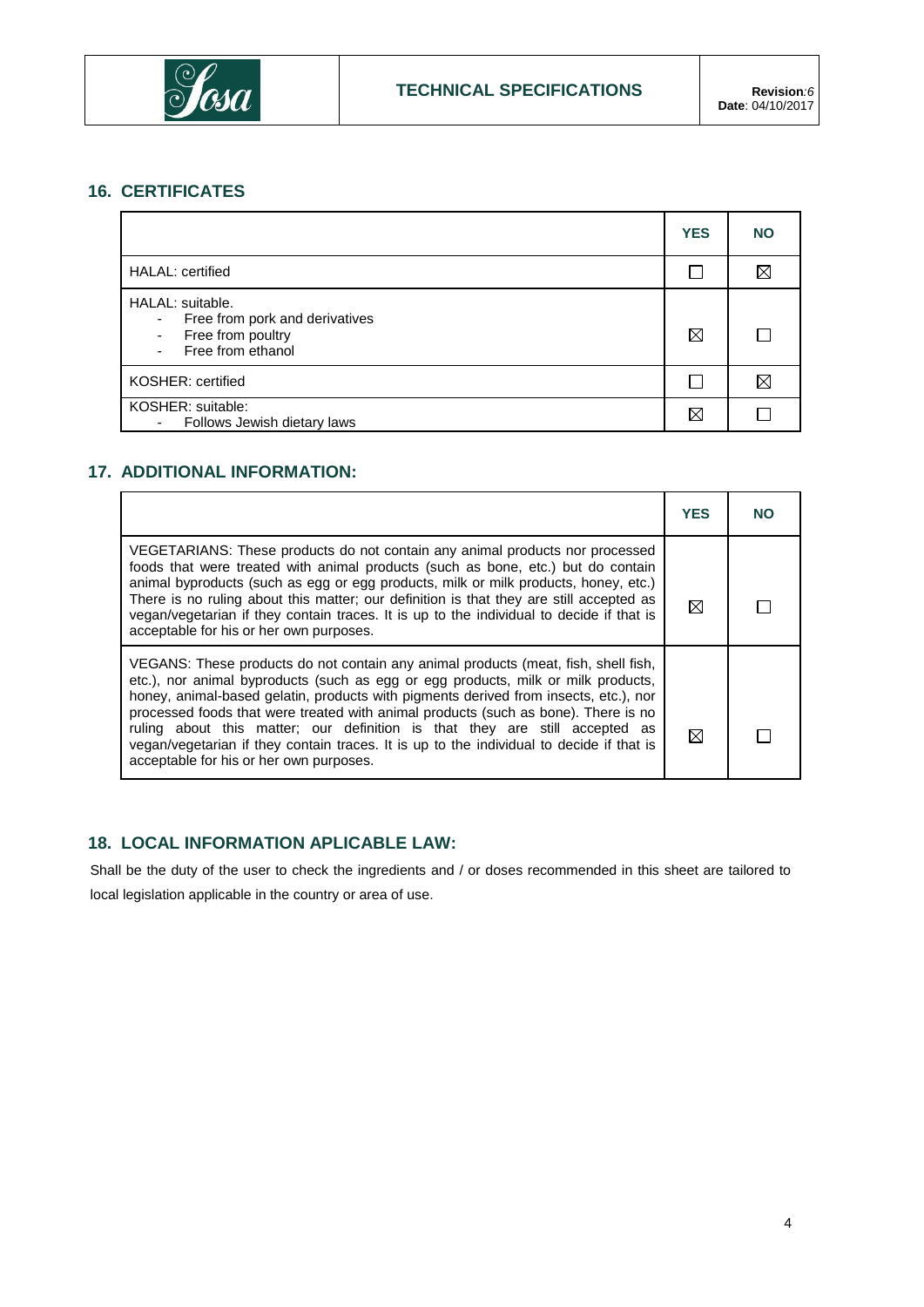

# **16. CERTIFICATES**

|                                                                                                                                    | <b>YES</b> | <b>NO</b> |
|------------------------------------------------------------------------------------------------------------------------------------|------------|-----------|
| <b>HALAL:</b> certified                                                                                                            |            |           |
| HALAL: suitable.<br>Free from pork and derivatives<br>۰<br>Free from poultry<br>$\overline{\phantom{a}}$<br>Free from ethanol<br>۰ | ⊠          |           |
| KOSHER: certified                                                                                                                  |            | ⋉         |
| KOSHER: suitable:<br>Follows Jewish dietary laws<br>٠                                                                              | ⊠          |           |

# **17. ADDITIONAL INFORMATION:**

|                                                                                                                                                                                                                                                                                                                                                                                                                                                                                                                                                                             | <b>YES</b> | NO |
|-----------------------------------------------------------------------------------------------------------------------------------------------------------------------------------------------------------------------------------------------------------------------------------------------------------------------------------------------------------------------------------------------------------------------------------------------------------------------------------------------------------------------------------------------------------------------------|------------|----|
| VEGETARIANS: These products do not contain any animal products nor processed<br>foods that were treated with animal products (such as bone, etc.) but do contain<br>animal byproducts (such as egg or egg products, milk or milk products, honey, etc.)<br>There is no ruling about this matter; our definition is that they are still accepted as<br>vegan/vegetarian if they contain traces. It is up to the individual to decide if that is<br>acceptable for his or her own purposes.                                                                                   | ⋈          |    |
| VEGANS: These products do not contain any animal products (meat, fish, shell fish,<br>etc.), nor animal byproducts (such as egg or egg products, milk or milk products,<br>honey, animal-based gelatin, products with pigments derived from insects, etc.), nor<br>processed foods that were treated with animal products (such as bone). There is no<br>ruling about this matter; our definition is that they are still accepted as<br>vegan/vegetarian if they contain traces. It is up to the individual to decide if that is<br>acceptable for his or her own purposes. | M          |    |

# **18. LOCAL INFORMATION APLICABLE LAW:**

Shall be the duty of the user to check the ingredients and / or doses recommended in this sheet are tailored to local legislation applicable in the country or area of use.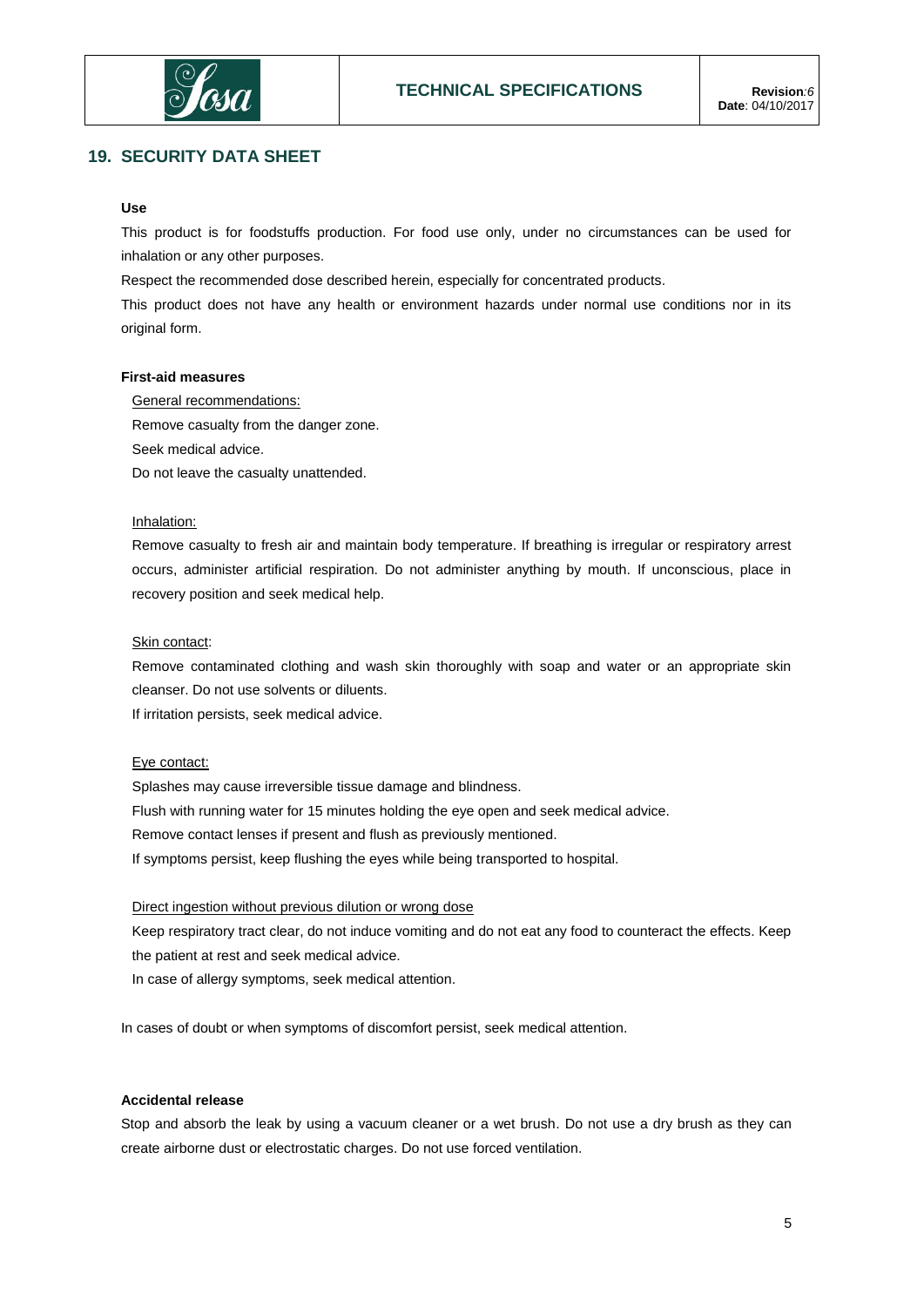

## **19. SECURITY DATA SHEET**

### **Use**

This product is for foodstuffs production. For food use only, under no circumstances can be used for inhalation or any other purposes.

Respect the recommended dose described herein, especially for concentrated products.

This product does not have any health or environment hazards under normal use conditions nor in its original form.

#### **First-aid measures**

General recommendations: Remove casualty from the danger zone. Seek medical advice. Do not leave the casualty unattended.

### Inhalation:

Remove casualty to fresh air and maintain body temperature. If breathing is irregular or respiratory arrest occurs, administer artificial respiration. Do not administer anything by mouth. If unconscious, place in recovery position and seek medical help.

#### Skin contact:

Remove contaminated clothing and wash skin thoroughly with soap and water or an appropriate skin cleanser. Do not use solvents or diluents.

If irritation persists, seek medical advice.

#### Eye contact:

Splashes may cause irreversible tissue damage and blindness. Flush with running water for 15 minutes holding the eye open and seek medical advice. Remove contact lenses if present and flush as previously mentioned. If symptoms persist, keep flushing the eyes while being transported to hospital.

#### Direct ingestion without previous dilution or wrong dose

Keep respiratory tract clear, do not induce vomiting and do not eat any food to counteract the effects. Keep the patient at rest and seek medical advice.

In case of allergy symptoms, seek medical attention.

In cases of doubt or when symptoms of discomfort persist, seek medical attention.

### **Accidental release**

Stop and absorb the leak by using a vacuum cleaner or a wet brush. Do not use a dry brush as they can create airborne dust or electrostatic charges. Do not use forced ventilation.